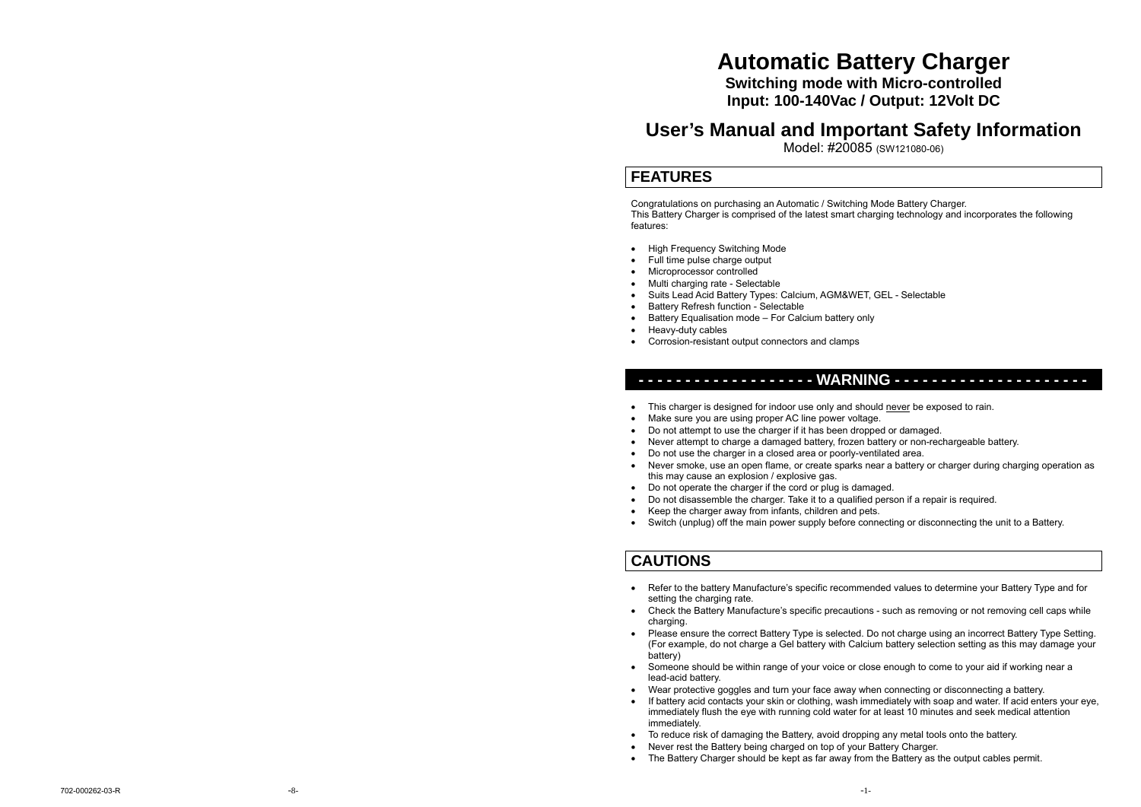# **Automatic Battery Charger**

**Switching mode with Micro-controlled Input: 100-140Vac / Output: 12Volt DC** 

### **User's Manual and Important Safety Information**

Model: #20085 (SW121080-06)

### **FEATURES**

features:

Congratulations on purchasing an Automatic / Switching Mode Battery Charger. This Battery Charger is comprised of the latest smart charging technology and incorporates the following

- High Frequency Switching Mode
- Full time pulse charge output
- Microprocessor controlled
- Multi charging rate Selectable
- Suits Lead Acid Battery Types: Calcium, AGM&WET, GEL Selectable
- Battery Refresh function Selectable
- Battery Equalisation mode For Calcium battery only
- Heavy-duty cables
- Corrosion-resistant output connectors and clamps

### **- - - - - - - - - - - - - - - - - - - WARNING - - - - - - - - - - - - - - - - - - - - -**

- This charger is designed for indoor use only and should never be exposed to rain.
- Make sure you are using proper AC line power voltage.
- Do not attempt to use the charger if it has been dropped or damaged.
- Never attempt to charge a damaged battery, frozen battery or non-rechargeable battery.
- Do not use the charger in a closed area or poorly-ventilated area.
- Never smoke, use an open flame, or create sparks near a battery or charger during charging operation as this may cause an explosion / explosive gas.
- Do not operate the charger if the cord or plug is damaged.
- Do not disassemble the charger. Take it to a qualified person if a repair is required.
- Keep the charger away from infants, children and pets.
- Switch (unplug) off the main power supply before connecting or disconnecting the unit to a Battery.

### **CAUTIONS**

- Refer to the battery Manufacture's specific recommended values to determine your Battery Type and for setting the charging rate.
- Check the Battery Manufacture's specific precautions such as removing or not removing cell caps while charging.
- Please ensure the correct Battery Type is selected. Do not charge using an incorrect Battery Type Setting. (For example, do not charge a Gel battery with Calcium battery selection setting as this may damage your battery)
- Someone should be within range of your voice or close enough to come to your aid if working near a lead-acid battery.
- Wear protective goggles and turn your face away when connecting or disconnecting a battery.
- If battery acid contacts your skin or clothing, wash immediately with soap and water. If acid enters your eye, immediately flush the eye with running cold water for at least 10 minutes and seek medical attention immediately.
- To reduce risk of damaging the Battery, avoid dropping any metal tools onto the battery.
- Never rest the Battery being charged on top of your Battery Charger.
- The Battery Charger should be kept as far away from the Battery as the output cables permit.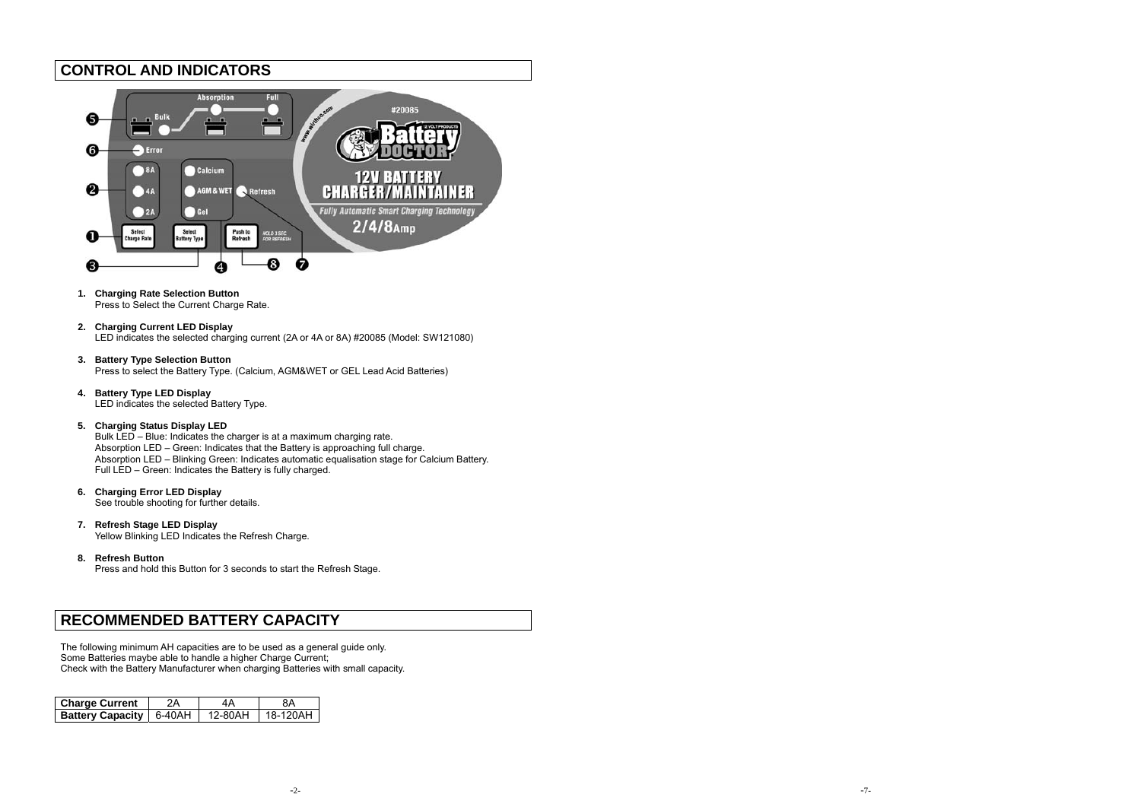### **CONTROL AND INDICATORS**



- **1. Charging Rate Selection Button**  Press to Select the Current Charge Rate.
- **2. Charging Current LED Display**  LED indicates the selected charging current (2A or 4A or 8A) #20085 (Model: SW121080)
- **3. Battery Type Selection Button**  Press to select the Battery Type. (Calcium, AGM&WET or GEL Lead Acid Batteries)
- **4. Battery Type LED Display**  LED indicates the selected Battery Type.

### **5. Charging Status Display LED**

Bulk LED – Blue: Indicates the charger is at a maximum charging rate. Absorption LED – Green: Indicates that the Battery is approaching full charge. Absorption LED – Blinking Green: Indicates automatic equalisation stage for Calcium Battery. Full LED – Green: Indicates the Battery is fully charged.

**6. Charging Error LED Display** 

See trouble shooting for further details.

- **7. Refresh Stage LED Display**  Yellow Blinking LED Indicates the Refresh Charge.
- **8. Refresh Button**

Press and hold this Button for 3 seconds to start the Refresh Stage.

### **RECOMMENDED BATTERY CAPACITY**

The following minimum AH capacities are to be used as a general guide only. Some Batteries maybe able to handle a higher Charge Current; Check with the Battery Manufacturer when charging Batteries with small capacity.

| <b>Charge Current</b>          | 2Α | 4 A     | 8Α       |
|--------------------------------|----|---------|----------|
| <b>Battery Capacity</b> 6-40AH |    | 12-80AH | 18-120AH |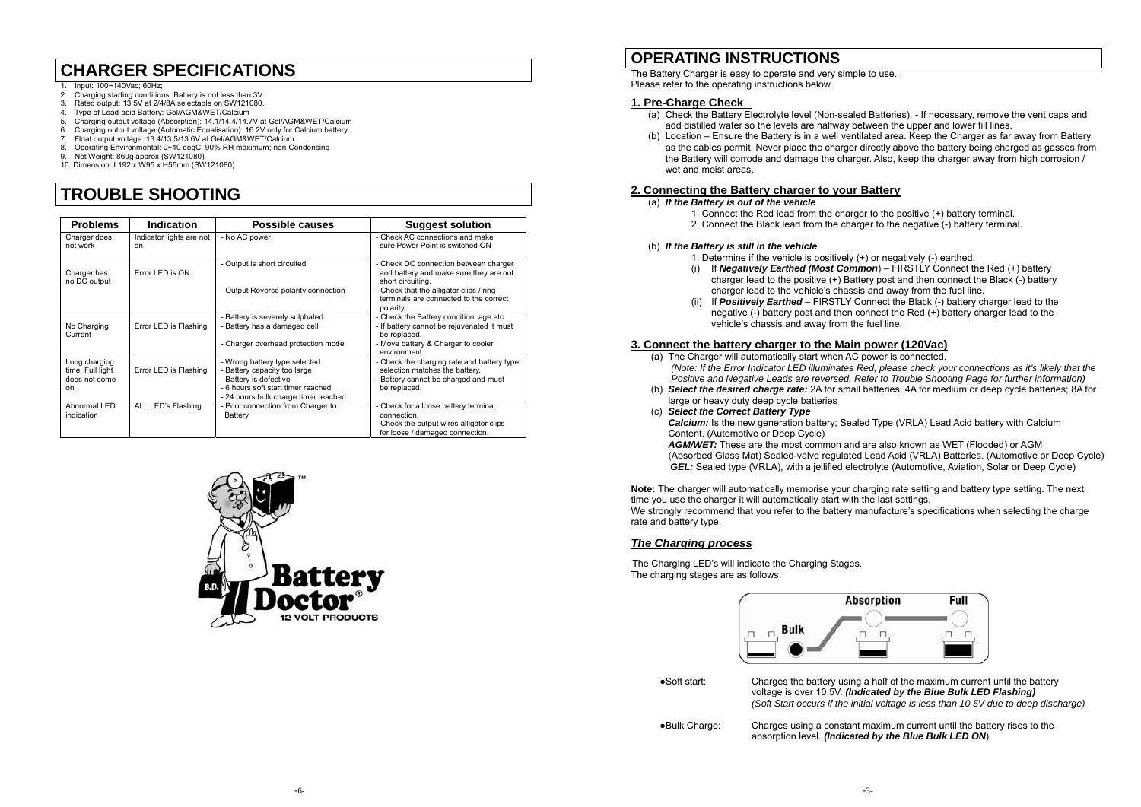## **CHARGER SPECIFICATIONS**

- 1. Input: 100~140Vac; 60Hz;
- 2. Charging starting conditions: Battery is not less than 3V
- 3. Rated output: 13.5V at 2/4/8A selectable on SW121080,<br>4. Type of Lead-acid Battery: Gel/AGM&WET/Calcium
- 4. Type of Lead-acid Battery: Gel/AGM&WET/Calcium<br>5. Charging output voltage (Absorption): 14.1/14.4/14.7
- 5. Charging output voltage (Absorption): 14.1/14.4/14.7V at Gel/AGM&WET/Calcium
- 6. Charging output voltage (Automatic Equalisation): 16.2V only for Calcium battery
- 7. Float output voltage: 13.4/13.5/13.6V at Gel/AGM&WET/Calcium
- 8. Operating Environmental: 0~40 degC, 90% RH maximum; non-Condensing<br>9. Net Weight: 860g approx (SW121080)
- 9. Net Weight: 860g approx (SW121080)
- 10. Dimension: L192 x W95 x H55mm (SW121080)

# **TROUBLE SHOOTING**

| <b>Problems</b>                                          | Indication                                | Possible causes                                                                                                                                                       | <b>Suggest solution</b>                                                                                                              |
|----------------------------------------------------------|-------------------------------------------|-----------------------------------------------------------------------------------------------------------------------------------------------------------------------|--------------------------------------------------------------------------------------------------------------------------------------|
| Charger does<br>not work                                 | Indicator lights are not<br><sub>on</sub> | - No AC power                                                                                                                                                         | - Check AC connections and make<br>sure Power Point is switched ON                                                                   |
| Charger has<br>no DC output                              | Error LED is ON.                          | - Output is short circuited                                                                                                                                           | - Check DC connection between charger<br>and battery and make sure they are not<br>short circuiting.                                 |
|                                                          |                                           | - Output Reverse polarity connection                                                                                                                                  | - Check that the alligator clips / ring<br>terminals are connected to the correct<br>polarity.                                       |
| No Charging<br>Current                                   | Error LED is Flashing                     | - Battery is severely sulphated<br>- Battery has a damaged cell                                                                                                       | - Check the Battery condition, age etc.<br>- If battery cannot be rejuvenated it must<br>be replaced.                                |
|                                                          |                                           | - Charger overhead protection mode                                                                                                                                    | - Move battery & Charger to cooler<br>environment                                                                                    |
| Long charging<br>time, Full light<br>does not come<br>on | Error LED is Flashing                     | - Wrong battery type selected<br>- Battery capacity too large<br>- Battery is defective<br>- 6 hours soft start timer reached<br>- 24 hours bulk charge timer reached | - Check the charging rate and battery type<br>selection matches the battery.<br>- Battery cannot be charged and must<br>be replaced. |
| Abnormal LED<br>indication                               | ALL LED's Flashing                        | - Poor connection from Charger to<br>Battery                                                                                                                          | - Check for a loose battery terminal<br>connection.<br>- Check the output wires alligator clips<br>for loose / damaged connection.   |



### **OPERATING INSTRUCTIONS**

The Battery Charger is easy to operate and very simple to use. Please refer to the operating instructions below.

#### **1. Pre-Charge Check**

- (a) Check the Battery Electrolyte level (Non-sealed Batteries). If necessary, remove the vent caps and add distilled water so the levels are halfway between the upper and lower fill lines.
- (b) Location Ensure the Battery is in a well ventilated area. Keep the Charger as far away from Battery as the cables permit. Never place the charger directly above the battery being charged as gasses from the Battery will corrode and damage the charger. Also, keep the charger away from high corrosion / wet and moist areas.

#### **2. Connecting the Battery charger to your Battery**

#### (a) *If the Battery is out of the vehicle*

- 1. Connect the Red lead from the charger to the positive (+) battery terminal.
- 2. Connect the Black lead from the charger to the negative (-) battery terminal.

#### (b) *If the Battery is still in the vehicle*

- 1. Determine if the vehicle is positively (+) or negatively (-) earthed.
- (i) If *Negatively Earthed (Most Common*) FIRSTLY Connect the Red (+) battery charger lead to the positive (+) Battery post and then connect the Black (-) battery charger lead to the vehicle's chassis and away from the fuel line.
- (ii) If *Positively Earthed* FIRSTLY Connect the Black (-) battery charger lead to the negative (-) battery post and then connect the Red (+) battery charger lead to the vehicle's chassis and away from the fuel line.

#### **3. Connect the battery charger to the Main power (120Vac)**

- (a) The Charger will automatically start when AC power is connected. *(Note: If the Error Indicator LED illuminates Red, please check your connections as it's likely that the Positive and Negative Leads are reversed. Refer to Trouble Shooting Page for further information)*
- (b) *Select the desired charge rate:* 2A for small batteries; 4A for medium or deep cycle batteries; 8A for large or heavy duty deep cycle batteries
- (c) *Select the Correct Battery Type*

*Calcium:* Is the new generation battery; Sealed Type (VRLA) Lead Acid battery with Calcium Content. (Automotive or Deep Cycle)

*AGM/WET:* These are the most common and are also known as WET (Flooded) or AGM (Absorbed Glass Mat) Sealed-valve regulated Lead Acid (VRLA) Batteries. (Automotive or Deep Cycle) *GEL:* Sealed type (VRLA), with a jellified electrolyte (Automotive, Aviation, Solar or Deep Cycle)

**Note:** The charger will automatically memorise your charging rate setting and battery type setting. The next time you use the charger it will automatically start with the last settings.

We strongly recommend that you refer to the battery manufacture's specifications when selecting the charge rate and battery type.

### *The Charging process*

The Charging LED's will indicate the Charging Stages. The charging stages are as follows:



●Soft start: Charges the battery using a half of the maximum current until the battery voltage is over 10.5V. *(Indicated by the Blue Bulk LED Flashing) (Soft Start occurs if the initial voltage is less than 10.5V due to deep discharge)* 

●Bulk Charge: Charges using a constant maximum current until the battery rises to the absorption level. *(Indicated by the Blue Bulk LED ON*)